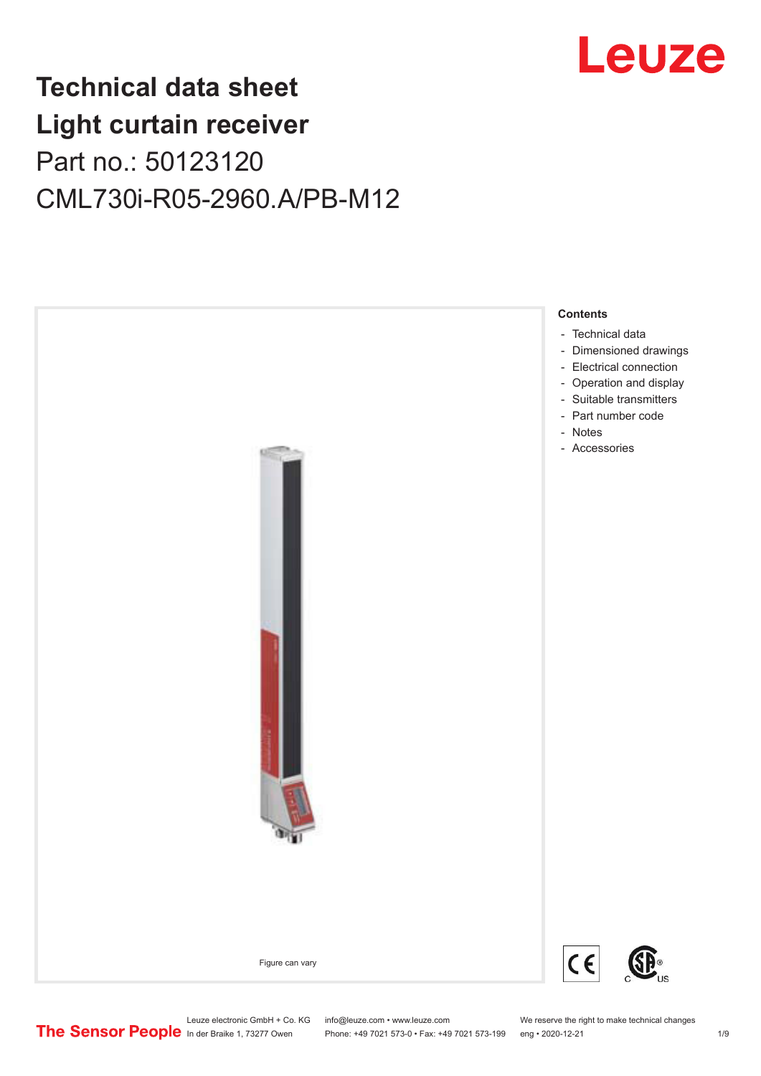

## **Technical data sheet Light curtain receiver** Part no.: 50123120 CML730i-R05-2960.A/PB-M12



Leuze electronic GmbH + Co. KG info@leuze.com • www.leuze.com We reserve the right to make technical changes<br>
The Sensor People in der Braike 1, 73277 Owen Phone: +49 7021 573-0 • Fax: +49 7021 573-199 eng • 2020-12-21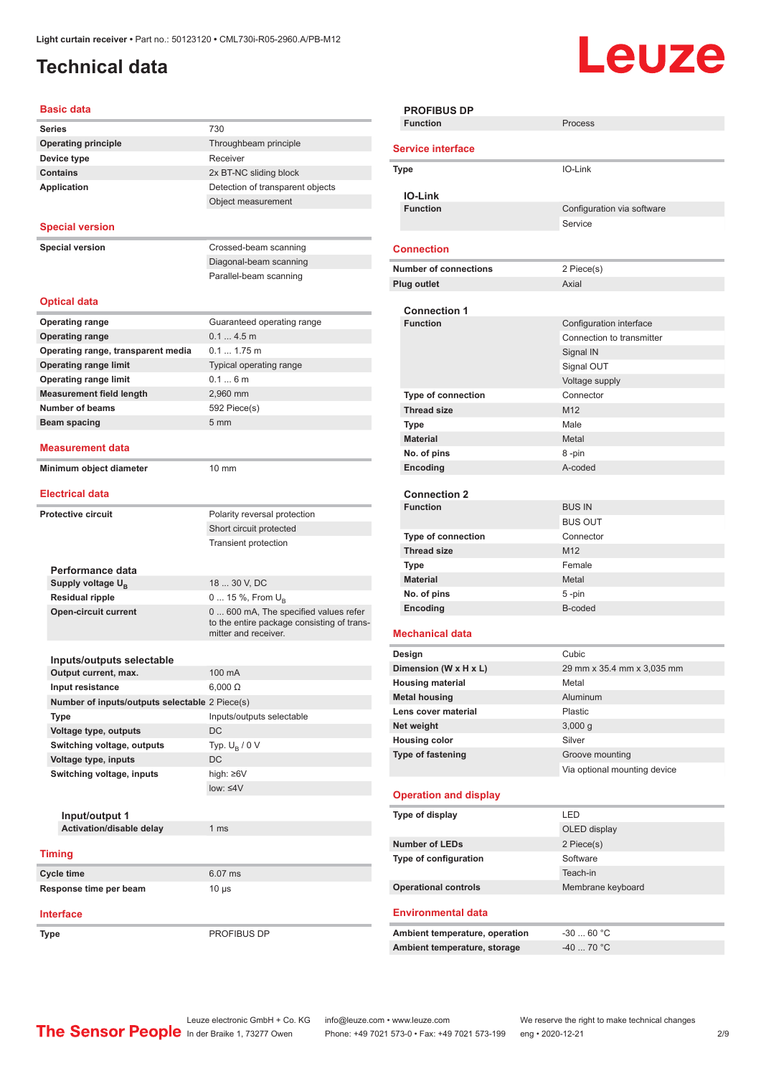## <span id="page-1-0"></span>**Technical data**

# **Leuze**

#### **Basic data**

| Dasit uala                                                         |                                                                                     |
|--------------------------------------------------------------------|-------------------------------------------------------------------------------------|
| <b>Series</b>                                                      | 730                                                                                 |
| <b>Operating principle</b>                                         | Throughbeam principle                                                               |
| Device type                                                        | Receiver                                                                            |
| <b>Contains</b>                                                    | 2x BT-NC sliding block                                                              |
| <b>Application</b>                                                 | Detection of transparent objects                                                    |
|                                                                    | Object measurement                                                                  |
|                                                                    |                                                                                     |
| <b>Special version</b>                                             |                                                                                     |
| <b>Special version</b>                                             | Crossed-beam scanning                                                               |
|                                                                    | Diagonal-beam scanning                                                              |
|                                                                    | Parallel-beam scanning                                                              |
|                                                                    |                                                                                     |
| <b>Optical data</b>                                                |                                                                                     |
| <b>Operating range</b>                                             | Guaranteed operating range                                                          |
| <b>Operating range</b>                                             | 0.14.5m                                                                             |
|                                                                    | $0.1$ 1.75 m                                                                        |
| Operating range, transparent media<br><b>Operating range limit</b> |                                                                                     |
|                                                                    | Typical operating range                                                             |
| <b>Operating range limit</b>                                       | 0.16m                                                                               |
| <b>Measurement field length</b>                                    | 2,960 mm                                                                            |
| <b>Number of beams</b>                                             | 592 Piece(s)                                                                        |
| Beam spacing                                                       | 5 <sub>mm</sub>                                                                     |
| Measurement data                                                   |                                                                                     |
|                                                                    |                                                                                     |
| Minimum object diameter                                            | 10 mm                                                                               |
| <b>Electrical data</b>                                             |                                                                                     |
|                                                                    |                                                                                     |
| <b>Protective circuit</b>                                          | Polarity reversal protection                                                        |
|                                                                    | Short circuit protected                                                             |
|                                                                    | <b>Transient protection</b>                                                         |
|                                                                    |                                                                                     |
| Performance data                                                   |                                                                                     |
| Supply voltage U <sub>B</sub>                                      | 18  30 V, DC                                                                        |
| <b>Residual ripple</b>                                             | 0  15 %, From $U_{\rm B}$                                                           |
| <b>Open-circuit current</b>                                        | 0  600 mA, The specified values refer<br>to the entire package consisting of trans- |
|                                                                    | mitter and receiver.                                                                |
|                                                                    |                                                                                     |
| Inputs/outputs selectable                                          |                                                                                     |
| Output current, max.                                               | 100 mA                                                                              |
| Input resistance                                                   | $6,000 \Omega$                                                                      |
| Number of inputs/outputs selectable 2 Piece(s)                     |                                                                                     |
| Type                                                               | Inputs/outputs selectable                                                           |
| Voltage type, outputs                                              | DC                                                                                  |
| Switching voltage, outputs                                         | Typ. $U_R / 0 V$                                                                    |
| Voltage type, inputs                                               | DC                                                                                  |
| Switching voltage, inputs                                          | high: $\geq 6V$                                                                     |
|                                                                    | $low: \leq 4V$                                                                      |
|                                                                    |                                                                                     |
| Input/output 1                                                     |                                                                                     |
| Activation/disable delay                                           | 1 <sub>ms</sub>                                                                     |
|                                                                    |                                                                                     |
| <b>Timing</b>                                                      |                                                                                     |
| Cycle time                                                         | 6.07 ms                                                                             |
| Response time per beam                                             | $10 \mu s$                                                                          |
|                                                                    |                                                                                     |
| <b>Interface</b>                                                   |                                                                                     |
| Type                                                               | PROFIBUS DP                                                                         |

| <b>PROFIBUS DP</b>             |                              |
|--------------------------------|------------------------------|
| <b>Function</b>                | Process                      |
| <b>Service interface</b>       |                              |
|                                | IO-Link                      |
| Type                           |                              |
| <b>IO-Link</b>                 |                              |
| <b>Function</b>                | Configuration via software   |
|                                | Service                      |
|                                |                              |
| <b>Connection</b>              |                              |
| <b>Number of connections</b>   | 2 Piece(s)                   |
| <b>Plug outlet</b>             | Axial                        |
|                                |                              |
| <b>Connection 1</b>            |                              |
| <b>Function</b>                | Configuration interface      |
|                                | Connection to transmitter    |
|                                | Signal IN                    |
|                                | Signal OUT                   |
|                                | Voltage supply               |
| Type of connection             | Connector                    |
| <b>Thread size</b>             | M12                          |
|                                |                              |
| <b>Type</b>                    | Male                         |
| <b>Material</b>                | Metal                        |
| No. of pins                    | 8-pin                        |
| Encoding                       | A-coded                      |
|                                |                              |
| <b>Connection 2</b>            |                              |
| <b>Function</b>                | <b>BUS IN</b>                |
|                                | <b>BUS OUT</b>               |
| <b>Type of connection</b>      | Connector                    |
| <b>Thread size</b>             | M12                          |
| Type                           | Female                       |
| <b>Material</b>                | Metal                        |
| No. of pins                    | 5-pin                        |
| Encoding                       | B-coded                      |
|                                |                              |
| <b>Mechanical data</b>         |                              |
| Design                         | Cubic                        |
| Dimension (W x H x L)          | 29 mm x 35.4 mm x 3,035 mm   |
| <b>Housing material</b>        | Metal                        |
| <b>Metal housing</b>           | Aluminum                     |
| Lens cover material            | Plastic                      |
| Net weight                     | 3,000 g                      |
| <b>Housing color</b>           | Silver                       |
| Type of fastening              | Groove mounting              |
|                                | Via optional mounting device |
|                                |                              |
| <b>Operation and display</b>   |                              |
| Type of display                | LED                          |
|                                |                              |
|                                | OLED display                 |
| <b>Number of LEDs</b>          | 2 Piece(s)                   |
| Type of configuration          | Software                     |
|                                | Teach-in                     |
| <b>Operational controls</b>    | Membrane keyboard            |
|                                |                              |
| <b>Environmental data</b>      |                              |
| Ambient temperature, operation | $-3060 °C$                   |
| Ambient temperature, storage   | -40  70 °C                   |
|                                |                              |
|                                |                              |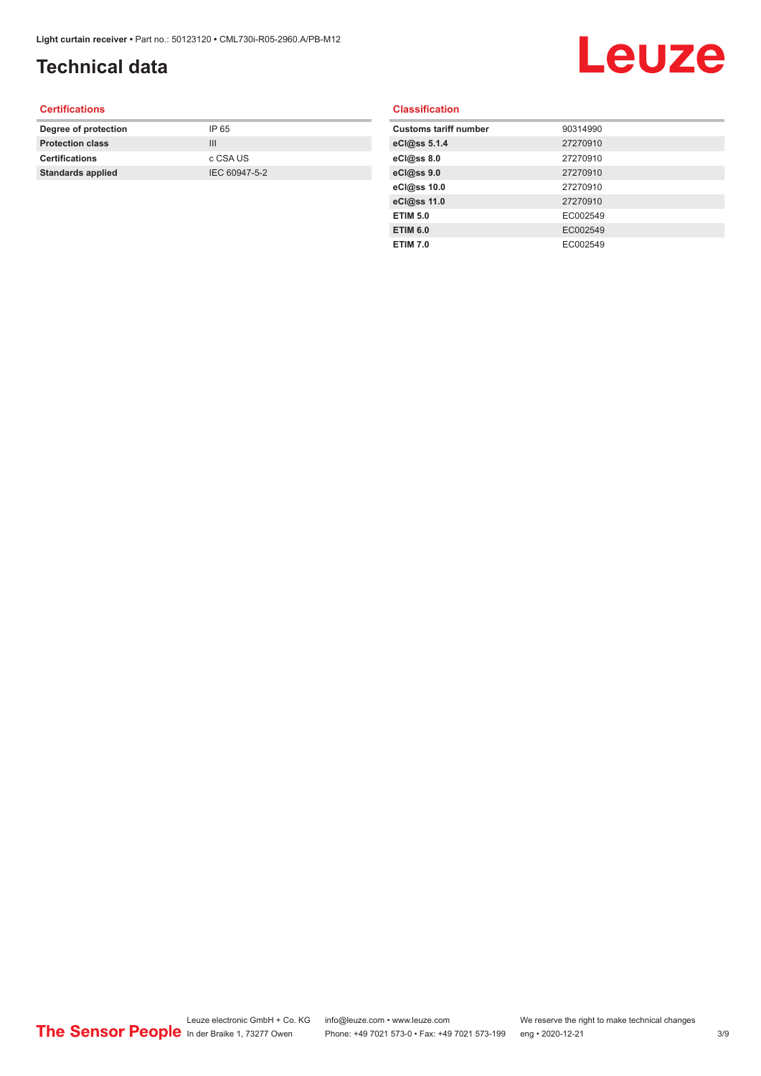## **Technical data**

# Leuze

#### **Certifications**

| Degree of protection     | IP 65         |
|--------------------------|---------------|
| <b>Protection class</b>  | Ш             |
| <b>Certifications</b>    | c CSA US      |
| <b>Standards applied</b> | IEC 60947-5-2 |
|                          |               |

#### **Classification**

| <b>Customs tariff number</b> | 90314990 |
|------------------------------|----------|
| eCl@ss 5.1.4                 | 27270910 |
| eCl@ss 8.0                   | 27270910 |
| eCl@ss 9.0                   | 27270910 |
| eCl@ss 10.0                  | 27270910 |
| eCl@ss 11.0                  | 27270910 |
| <b>ETIM 5.0</b>              | EC002549 |
| <b>ETIM 6.0</b>              | EC002549 |
| <b>ETIM 7.0</b>              | EC002549 |
|                              |          |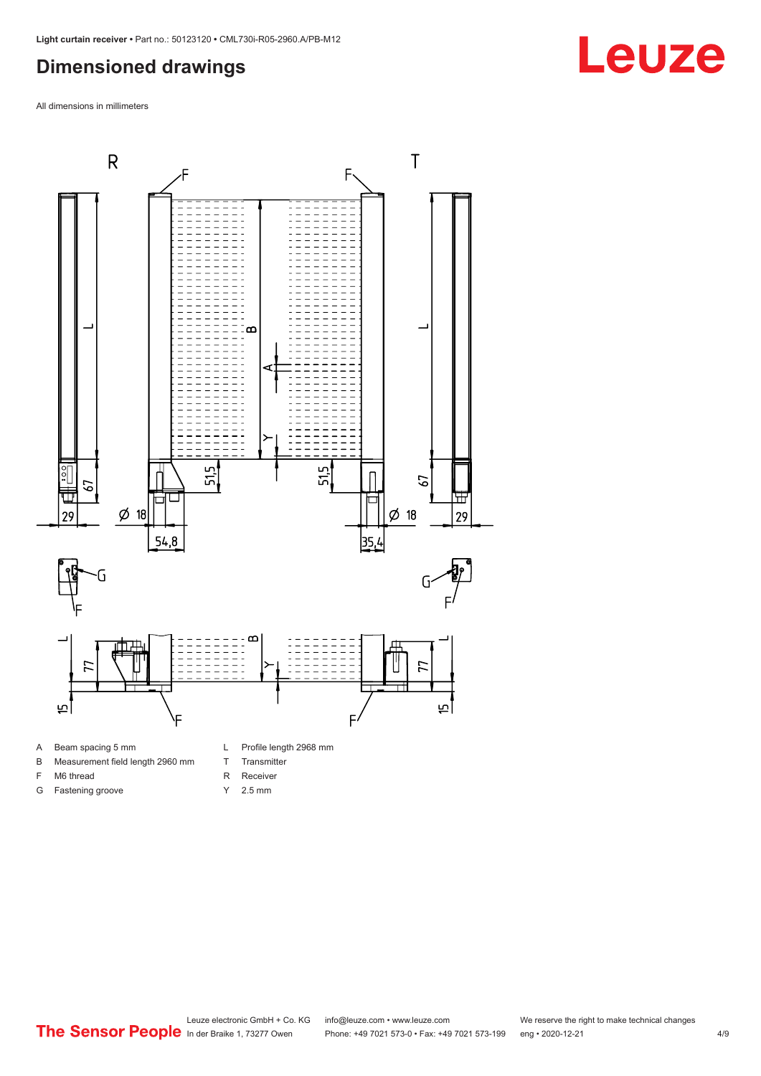#### <span id="page-3-0"></span>**Dimensioned drawings**

All dimensions in millimeters



A Beam spacing 5 mm

G Fastening groove

- B Measurement field length 2960 mm
- F M6 thread
- 
- R Receiver
	- Y 2.5 mm

T Transmitter

**Leuze**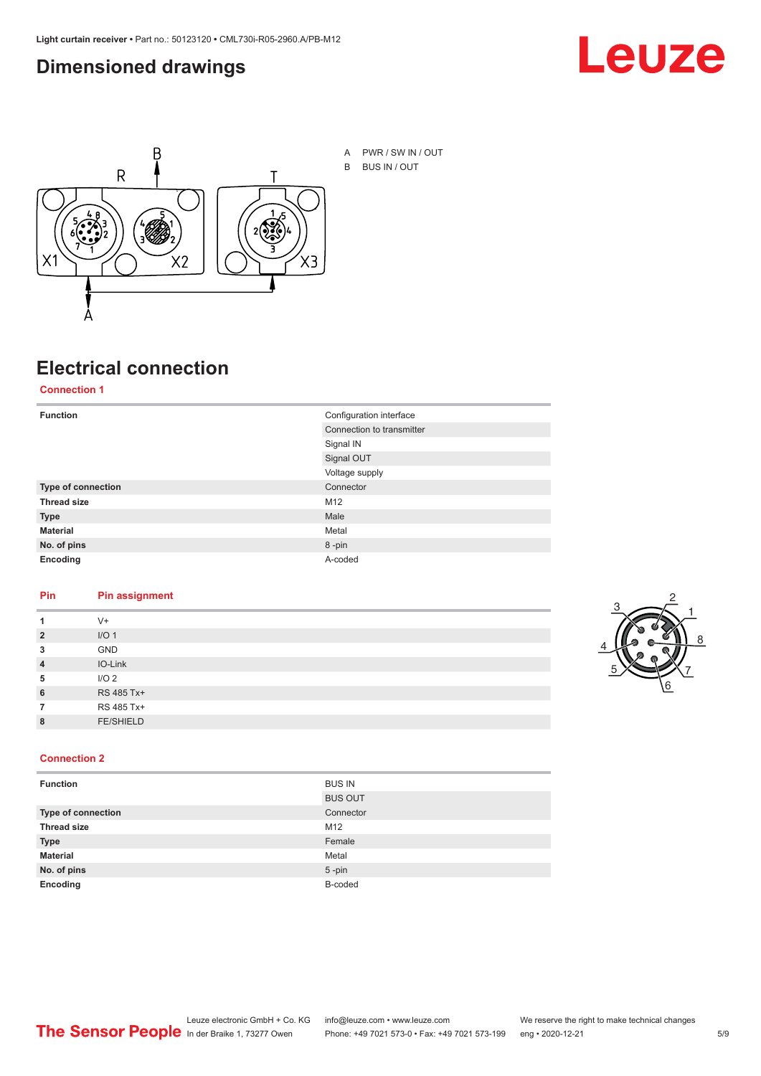#### <span id="page-4-0"></span>**Dimensioned drawings**





### **Electrical connection**

**Connection 1**

| <b>Function</b>    | Configuration interface   |
|--------------------|---------------------------|
|                    | Connection to transmitter |
|                    | Signal IN                 |
|                    | Signal OUT                |
|                    | Voltage supply            |
| Type of connection | Connector                 |
| <b>Thread size</b> | M12                       |
| <b>Type</b>        | Male                      |
| <b>Material</b>    | Metal                     |
| No. of pins        | 8-pin                     |
| Encoding           | A-coded                   |

#### **Pin Pin assignment**

|                | $V +$            |  |  |
|----------------|------------------|--|--|
| $\overline{2}$ | I/O <sub>1</sub> |  |  |
| 3              | <b>GND</b>       |  |  |
| $\overline{4}$ | IO-Link          |  |  |
| 5              | I/O <sub>2</sub> |  |  |
| 6              | RS 485 Tx+       |  |  |
|                | RS 485 Tx+       |  |  |
| 8              | <b>FE/SHIELD</b> |  |  |
|                |                  |  |  |



| <b>Function</b>           | <b>BUS IN</b>  |
|---------------------------|----------------|
|                           | <b>BUS OUT</b> |
| <b>Type of connection</b> | Connector      |
| <b>Thread size</b>        | M12            |
| <b>Type</b>               | Female         |
| <b>Material</b>           | Metal          |
| No. of pins               | $5$ -pin       |
| Encoding                  | B-coded        |



1 2

8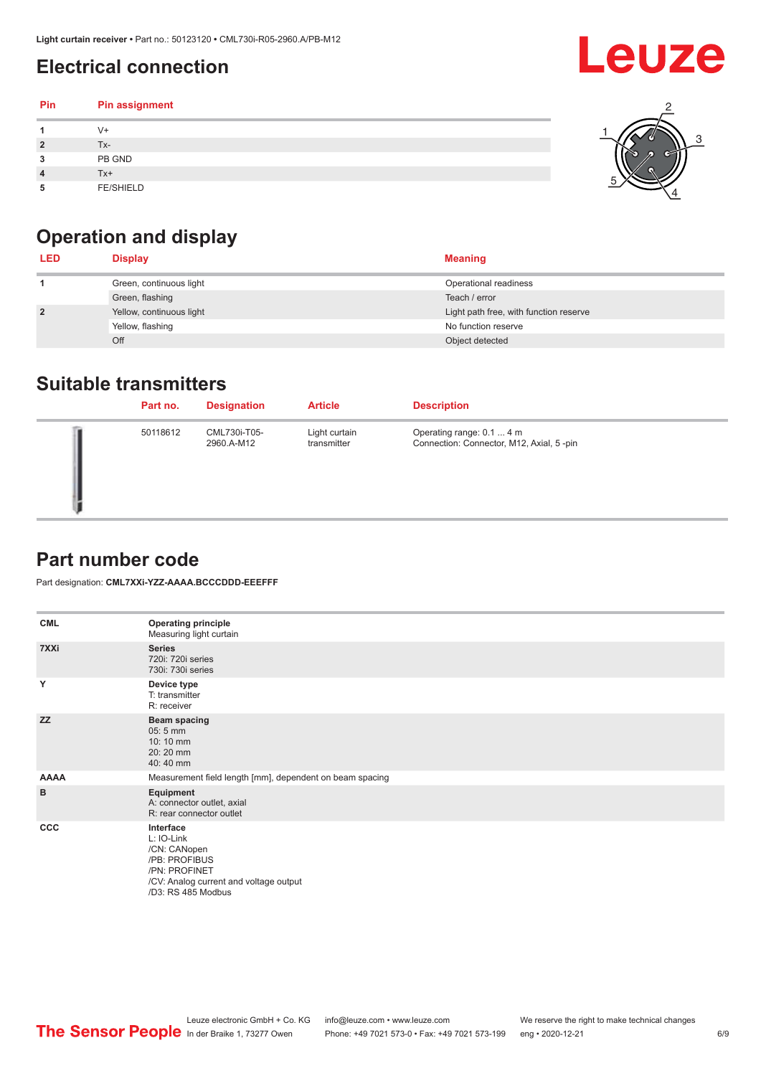## <span id="page-5-0"></span>**Electrical connection**

#### **Pin Pin assignment 1** V+ **2** Tx-**3** PB GND **4** Tx+ **5** FE/SHIELD 3 2 1 5 4

## **Operation and display**

| <b>LED</b>     | <b>Display</b>           | <b>Meaning</b>                         |
|----------------|--------------------------|----------------------------------------|
|                | Green, continuous light  | Operational readiness                  |
|                | Green, flashing          | Teach / error                          |
| $\overline{2}$ | Yellow, continuous light | Light path free, with function reserve |
|                | Yellow, flashing         | No function reserve                    |
|                | Off                      | Object detected                        |

#### **Suitable transmitters**

| Part no. | <b>Designation</b>         | <b>Article</b>               | <b>Description</b>                                                     |
|----------|----------------------------|------------------------------|------------------------------------------------------------------------|
| 50118612 | CML730i-T05-<br>2960.A-M12 | Light curtain<br>transmitter | Operating range: 0.1  4 m<br>Connection: Connector, M12, Axial, 5 -pin |

### **Part number code**

Part designation: **CML7XXi-YZZ-AAAA.BCCCDDD-EEEFFF**

| <b>CML</b>  | <b>Operating principle</b><br>Measuring light curtain                                                                                     |
|-------------|-------------------------------------------------------------------------------------------------------------------------------------------|
| 7XXi        | <b>Series</b><br>720i: 720i series<br>730i: 730i series                                                                                   |
| Y           | Device type<br>T: transmitter<br>R: receiver                                                                                              |
| <b>ZZ</b>   | <b>Beam spacing</b><br>$05:5$ mm<br>10:10 mm<br>20:20 mm<br>40:40 mm                                                                      |
| <b>AAAA</b> | Measurement field length [mm], dependent on beam spacing                                                                                  |
| B           | Equipment<br>A: connector outlet, axial<br>R: rear connector outlet                                                                       |
| <b>CCC</b>  | Interface<br>L: IO-Link<br>/CN: CANopen<br>/PB: PROFIBUS<br>/PN: PROFINET<br>/CV: Analog current and voltage output<br>/D3: RS 485 Modbus |

**Leuze**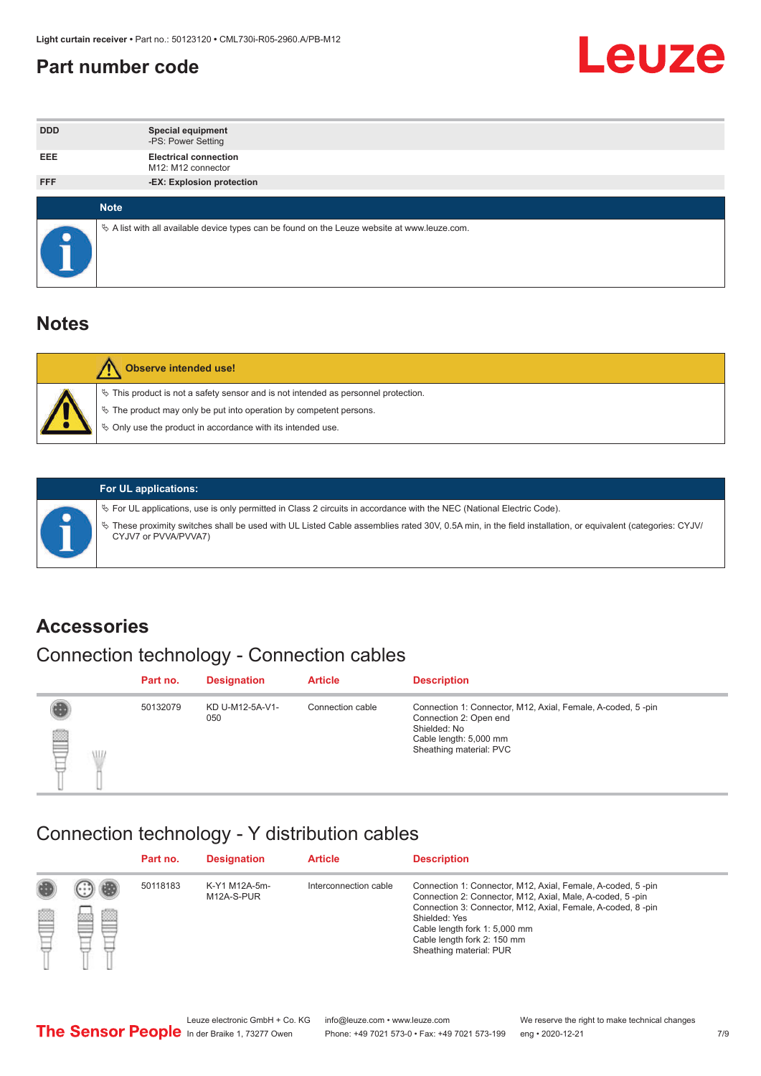#### <span id="page-6-0"></span>**Part number code**



| <b>DDD</b> | <b>Special equipment</b><br>-PS: Power Setting                                                  |
|------------|-------------------------------------------------------------------------------------------------|
| <b>EEE</b> | <b>Electrical connection</b><br>M12: M12 connector                                              |
| <b>FFF</b> | -EX: Explosion protection                                                                       |
|            |                                                                                                 |
|            | <b>Note</b>                                                                                     |
|            | $\&$ A list with all available device types can be found on the Leuze website at www.leuze.com. |

#### **Notes**

| $\%$ The product may only be put into operation by competent persons.<br>₿ Only use the product in accordance with its intended use. | $\%$ This product is not a safety sensor and is not intended as personnel protection. |
|--------------------------------------------------------------------------------------------------------------------------------------|---------------------------------------------------------------------------------------|



#### **For UL applications:**

ª For UL applications, use is only permitted in Class 2 circuits in accordance with the NEC (National Electric Code). ª These proximity switches shall be used with UL Listed Cable assemblies rated 30V, 0.5A min, in the field installation, or equivalent (categories: CYJV/ CYJV7 or PVVA/PVVA7)

#### **Accessories**

## Connection technology - Connection cables

|        | Part no. | <b>Designation</b>     | <b>Article</b>   | <b>Description</b>                                                                                                                                         |
|--------|----------|------------------------|------------------|------------------------------------------------------------------------------------------------------------------------------------------------------------|
| 2<br>W | 50132079 | KD U-M12-5A-V1-<br>050 | Connection cable | Connection 1: Connector, M12, Axial, Female, A-coded, 5-pin<br>Connection 2: Open end<br>Shielded: No<br>Cable length: 5,000 mm<br>Sheathing material: PVC |

#### Connection technology - Y distribution cables

|        |   | Part no. | <b>Designation</b>          | <b>Article</b>        | <b>Description</b>                                                                                                                                                                                                                                                                                  |
|--------|---|----------|-----------------------------|-----------------------|-----------------------------------------------------------------------------------------------------------------------------------------------------------------------------------------------------------------------------------------------------------------------------------------------------|
| 圔<br>⋿ | Ø | 50118183 | K-Y1 M12A-5m-<br>M12A-S-PUR | Interconnection cable | Connection 1: Connector, M12, Axial, Female, A-coded, 5-pin<br>Connection 2: Connector, M12, Axial, Male, A-coded, 5-pin<br>Connection 3: Connector, M12, Axial, Female, A-coded, 8-pin<br>Shielded: Yes<br>Cable length fork 1: 5,000 mm<br>Cable length fork 2: 150 mm<br>Sheathing material: PUR |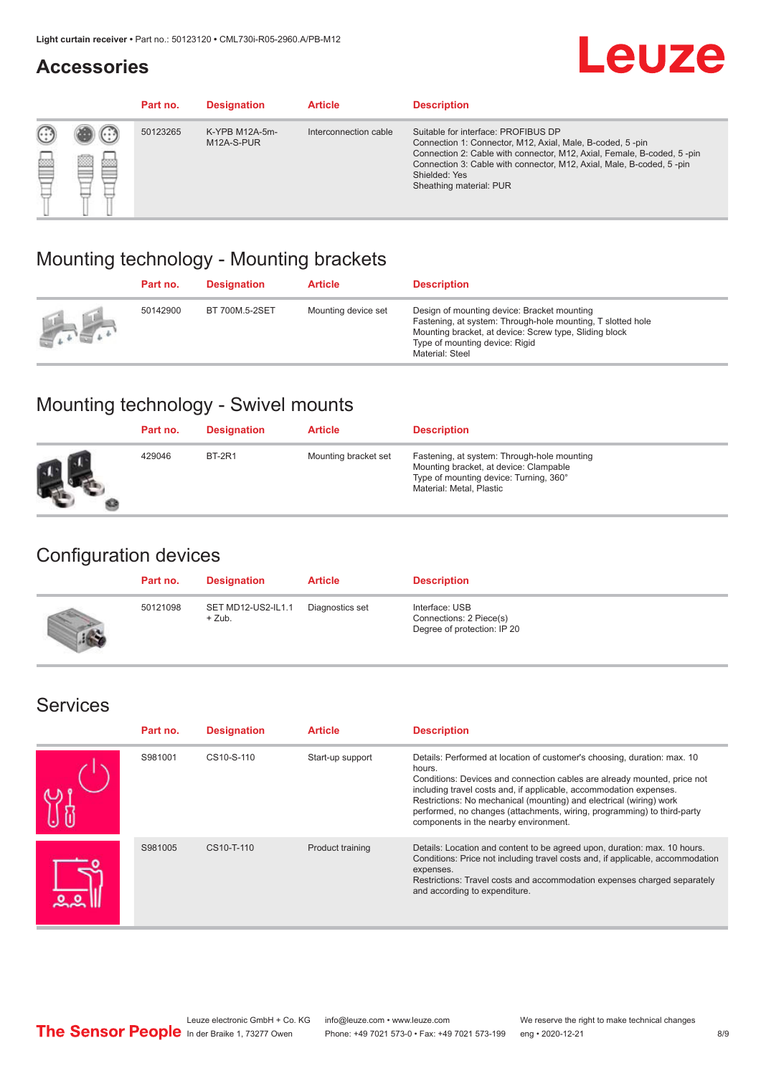#### **Accessories**

# **Leuze**

|   |        | Part no. | <b>Designation</b>           | <b>Article</b>        | <b>Description</b>                                                                                                                                                                                                                                                                             |
|---|--------|----------|------------------------------|-----------------------|------------------------------------------------------------------------------------------------------------------------------------------------------------------------------------------------------------------------------------------------------------------------------------------------|
| 您 | ×<br>一 | 50123265 | K-YPB M12A-5m-<br>M12A-S-PUR | Interconnection cable | Suitable for interface: PROFIBUS DP<br>Connection 1: Connector, M12, Axial, Male, B-coded, 5-pin<br>Connection 2: Cable with connector, M12, Axial, Female, B-coded, 5-pin<br>Connection 3: Cable with connector, M12, Axial, Male, B-coded, 5-pin<br>Shielded: Yes<br>Sheathing material: PUR |

### Mounting technology - Mounting brackets

|                                                 | Part no. | <b>Designation</b> | <b>Article</b>      | <b>Description</b>                                                                                                                                                                                                        |
|-------------------------------------------------|----------|--------------------|---------------------|---------------------------------------------------------------------------------------------------------------------------------------------------------------------------------------------------------------------------|
| $\frac{1}{2} \sum_{n=1}^{\infty} \frac{1}{n^2}$ | 50142900 | BT 700M.5-2SET     | Mounting device set | Design of mounting device: Bracket mounting<br>Fastening, at system: Through-hole mounting, T slotted hole<br>Mounting bracket, at device: Screw type, Sliding block<br>Type of mounting device: Rigid<br>Material: Steel |

### Mounting technology - Swivel mounts

| Part no. | <b>Designation</b> | <b>Article</b>       | <b>Description</b>                                                                                                                                          |
|----------|--------------------|----------------------|-------------------------------------------------------------------------------------------------------------------------------------------------------------|
| 429046   | <b>BT-2R1</b>      | Mounting bracket set | Fastening, at system: Through-hole mounting<br>Mounting bracket, at device: Clampable<br>Type of mounting device: Turning, 360°<br>Material: Metal, Plastic |

### Configuration devices

| Part no. | <b>Designation</b>             | <b>Article</b>  | <b>Description</b>                                                       |
|----------|--------------------------------|-----------------|--------------------------------------------------------------------------|
| 50121098 | SET MD12-US2-IL1.1<br>$+$ Zub. | Diagnostics set | Interface: USB<br>Connections: 2 Piece(s)<br>Degree of protection: IP 20 |

#### Services

| Part no. | <b>Designation</b> | <b>Article</b>   | <b>Description</b>                                                                                                                                                                                                                                                                                                                                                                                                              |
|----------|--------------------|------------------|---------------------------------------------------------------------------------------------------------------------------------------------------------------------------------------------------------------------------------------------------------------------------------------------------------------------------------------------------------------------------------------------------------------------------------|
| S981001  | CS10-S-110         | Start-up support | Details: Performed at location of customer's choosing, duration: max. 10<br>hours.<br>Conditions: Devices and connection cables are already mounted, price not<br>including travel costs and, if applicable, accommodation expenses.<br>Restrictions: No mechanical (mounting) and electrical (wiring) work<br>performed, no changes (attachments, wiring, programming) to third-party<br>components in the nearby environment. |
| S981005  | CS10-T-110         | Product training | Details: Location and content to be agreed upon, duration: max. 10 hours.<br>Conditions: Price not including travel costs and, if applicable, accommodation<br>expenses.<br>Restrictions: Travel costs and accommodation expenses charged separately<br>and according to expenditure.                                                                                                                                           |